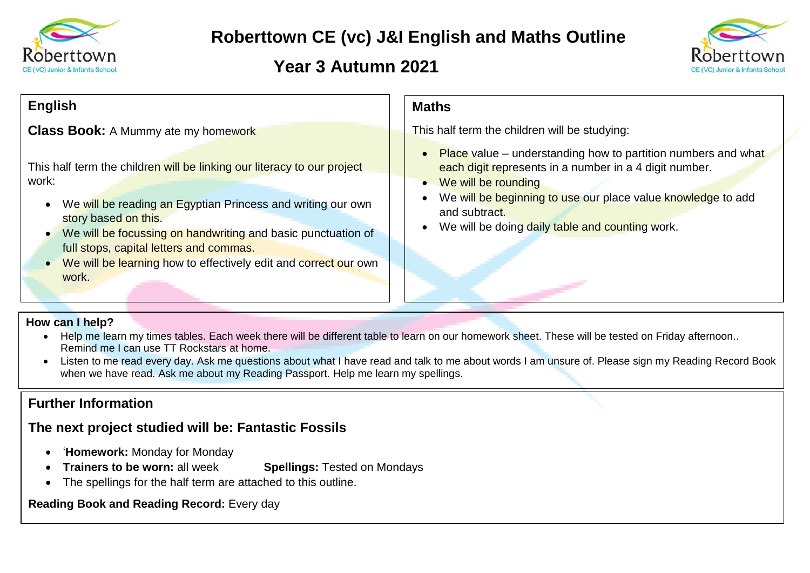

# **Roberttown CE (vc) J&I English and Maths Outline**

## **Year 3 Autumn 2021**



#### **Maths** This half term the children will be studying:  $\bullet$  Place value – understanding how to partition numbers and what each digit represents in a number in a 4 digit number. • We will be rounding We will be beginning to use our place value knowledge to add and subtract. • We will be doing daily table and counting work. **English Class Book:** A Mummy ate my homework This half term the children will be linking our literacy to our project work: • We will be reading an Egyptian Princess and writing our own story based on this. • We will be focussing on handwriting and basic punctuation of full stops, capital letters and commas. • We will be learning how to effectively edit and correct our own work.

### **How can I help?**

- Help me learn my times tables. Each week there will be different table to learn on our homework sheet. These will be tested on Friday afternoon.. Remind me I can use TT Rockstars at home.
- Listen to me read every day. Ask me questions about what I have read and talk to me about words I am unsure of. Please sign my Reading Record Book when we have read. Ask me about my Reading Passport. Help me learn my spellings.

## **Further Information**

## **The next project studied will be: Fantastic Fossils**

- '**Homework:** Monday for Monday
- **Trainers to be worn:** all week **Spellings:** Tested on Mondays
- The spellings for the half term are attached to this outline.

**Reading Book and Reading Record:** Every day